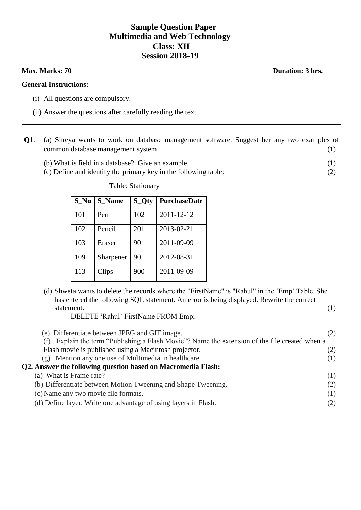# **Sample Question Paper Multimedia and Web Technology Class: XII Session 2018-19**

#### **General Instructions:**

- (i) All questions are compulsory.
- (ii) Answer the questions after carefully reading the text.
- **Q1**. (a) Shreya wants to work on database management software. Suggest her any two examples of common database management system. (1)
	- (b) What is field in a database? Give an example. (1)
	- (c) Define and identify the primary key in the following table: (2)

Table: Stationary

| $S_N$ | <b>S</b> Name | S_Qty | <b>PurchaseDate</b> |
|-------|---------------|-------|---------------------|
| 101   | Pen           | 102   | 2011-12-12          |
| 102   | Pencil        | 201   | 2013-02-21          |
| 103   | Eraser        | 90    | 2011-09-09          |
| 109   | Sharpener     | 90    | 2012-08-31          |
| 113   | Clips         | 900   | 2011-09-09          |

(d) Shweta wants to delete the records where the "FirstName" is "Rahul" in the "Emp" Table. She has entered the following SQL statement. An error is being displayed. Rewrite the correct statement. (1)

DELETE "Rahul" FirstName FROM Emp;

| (e) Differentiate between JPEG and GIF image.                                                  |     |
|------------------------------------------------------------------------------------------------|-----|
| (f) Explain the term "Publishing a Flash Movie"? Name the extension of the file created when a |     |
| Flash movie is published using a Macintosh projector.                                          |     |
| (g) Mention any one use of Multimedia in healthcare.                                           | (1) |
| Q2. Answer the following question based on Macromedia Flash:                                   |     |
| (a) What is Frame rate?                                                                        | (1) |
| (b) Differentiate between Motion Tweening and Shape Tweening.                                  | (2) |
| (c) Name any two movie file formats.                                                           | (1) |
| (d) Define layer. Write one advantage of using layers in Flash.                                |     |

# **Max. Marks: 70 Duration: 3 hrs.**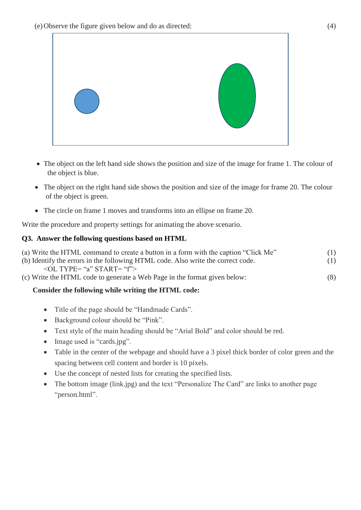

- The object on the left hand side shows the position and size of the image for frame 1. The colour of the object is blue.
- The object on the right hand side shows the position and size of the image for frame 20. The colour of the object is green.
- The circle on frame 1 moves and transforms into an ellipse on frame 20.

Write the procedure and property settings for animating the above scenario.

# **Q3. Answer the following questions based on HTML**

| (a) Write the HTML command to create a button in a form with the caption "Click Me" | (1) |
|-------------------------------------------------------------------------------------|-----|
| (b) Identify the errors in the following HTML code. Also write the correct code.    | (1) |
| $\le$ OL TYPE= "a" START= "f">                                                      |     |
| (c) Write the HTML code to generate a Web Page in the format given below:           | (8) |
|                                                                                     |     |

# **Consider the following while writing the HTML code:**

- Title of the page should be "Handmade Cards".
- Background colour should be "Pink".
- Text style of the main heading should be "Arial Bold" and color should be red.
- Image used is "cards.jpg".
- Table in the center of the webpage and should have a 3 pixel thick border of color green and the spacing between cell content and border is 10 pixels.
- Use the concept of nested lists for creating the specified lists.
- The bottom image (link.jpg) and the text "Personalize The Card" are links to another page "person.html".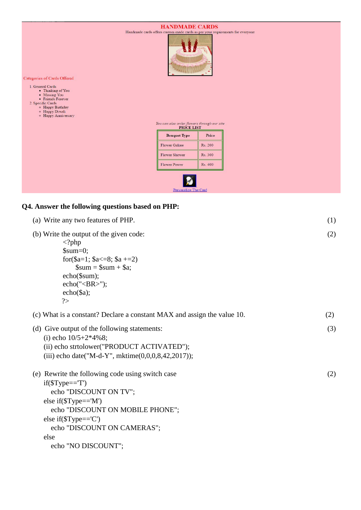

# **Q4. Answer the following questions based on PHP:**

| (a) Write any two features of PHP.                                                                                                                                                                                                                           | (1) |
|--------------------------------------------------------------------------------------------------------------------------------------------------------------------------------------------------------------------------------------------------------------|-----|
| (b) Write the output of the given code:<br>$\langle$ ?php<br>$\text{\$sum}=0;$<br>for $\$a=1$ ; $\$a \le 8$ ; $\$a += 2$ )<br>$\text{\$sum} = \text{\$sum} + \text{\$a};$<br>$echo($sum);$<br>$echo("$ ");<br>$echo(\$a);$<br>?                              | (2) |
| (c) What is a constant? Declare a constant MAX and assign the value 10.                                                                                                                                                                                      | (2) |
| (d) Give output of the following statements:<br>(i) echo $10/5+2*4\%8;$<br>(ii) echo strtolower("PRODUCT ACTIVATED");<br>(iii) echo date("M-d-Y", mktime $(0,0,0,8,42,2017)$ );                                                                              | (3) |
| (e) Rewrite the following code using switch case<br>$if$ (\$Type== $T'$ )<br>echo "DISCOUNT ON TV";<br>else if( $T$ ype=='M')<br>echo "DISCOUNT ON MOBILE PHONE";<br>else if( $T$ ype== $C'$ )<br>echo "DISCOUNT ON CAMERAS";<br>else<br>echo "NO DISCOUNT"; | (2) |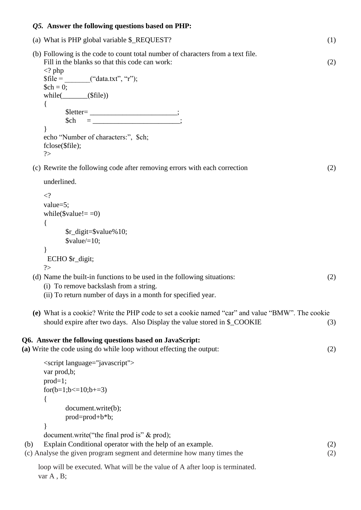## *Q5.* **Answer the following questions based on PHP:**

| (a) What is PHP global variable \$_REQUEST?                                                                                                                                                                                                    | (1) |
|------------------------------------------------------------------------------------------------------------------------------------------------------------------------------------------------------------------------------------------------|-----|
| (b) Following is the code to count total number of characters from a text file.<br>Fill in the blanks so that this code can work:<br>$\langle$ ? php<br>$$file = \_\_$ ("data.txt", "r");<br>$\mathcal{S}ch = 0;$<br>while( $\_\_\_\$ (\file)) | (2) |
| {<br>$$letter = \_ \_ \_ \_ \_ \_ \_ \_ \_ ;$<br>\$ch<br>∤<br>echo "Number of characters:", \$ch;<br>fclose(\$file);<br>?                                                                                                                      |     |
| (c) Rewrite the following code after removing errors with each correction                                                                                                                                                                      | (2) |
| underlined.                                                                                                                                                                                                                                    |     |
| $\langle$ ?<br>value= $5$ ;<br>while( $\text{value}!==0$ )<br>{<br>\$r_digit=\$value%10;                                                                                                                                                       |     |
| $\text{value} \times = 10$ ;                                                                                                                                                                                                                   |     |

(d) Name the built-in functions to be used in the following situations: (2)

**(e)** What is a cookie? Write the PHP code to set a cookie named "car" and value "BMW". The cookie

should expire after two days. Also Display the value stored in \$ COOKIE (3)

#### **Q6. Answer the following questions based on JavaScript:**

(i) To remove backslash from a string.

**(a)** Write the code using do while loop without effecting the output: (2)

(ii) To return number of days in a month for specified year.

```
<script language="javascript">
var prod,b;
prod=1;
for(b=1;b\le=10;b+=3)
{
       document.write(b);
       prod=prod+b*b;
}
```
}

 $2$ 

ECHO \$r\_digit;

document.write("the final prod is" & prod);

(b) Explain Conditional operator with the help of an example. (2) (c) Analyse the given program segment and determine how many times the (2)

loop will be executed. What will be the value of A after loop is terminated. var A, B;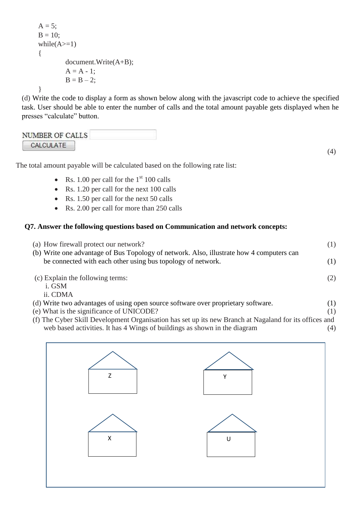```
A = 5;
B = 10;while(A>=1){
        document.Write(A+B);
        A = A - 1;
        B = B - 2;
}
```
(d) Write the code to display a form as shown below along with the javascript code to achieve the specified task. User should be able to enter the number of calls and the total amount payable gets displayed when he presses "calculate" button.

| NUMBER OF CALLS |  |
|-----------------|--|
| CALCULATE       |  |

(4)

The total amount payable will be calculated based on the following rate list:

- Rs. 1.00 per call for the  $1<sup>st</sup>$  100 calls
- Rs. 1.20 per call for the next 100 calls
- Rs. 1.50 per call for the next 50 calls
- Rs. 2.00 per call for more than 250 calls

# **Q7. Answer the following questions based on Communication and network concepts:**

| (a) How firewall protect our network?                                                                                                                                                                                                                                                                                                                                                                                                                                                                                                                                                                                                                                                  | (1) |
|----------------------------------------------------------------------------------------------------------------------------------------------------------------------------------------------------------------------------------------------------------------------------------------------------------------------------------------------------------------------------------------------------------------------------------------------------------------------------------------------------------------------------------------------------------------------------------------------------------------------------------------------------------------------------------------|-----|
| (b) Write one advantage of Bus Topology of network. Also, illustrate how 4 computers can<br>be connected with each other using bus topology of network.                                                                                                                                                                                                                                                                                                                                                                                                                                                                                                                                | (1) |
| (c) Explain the following terms:                                                                                                                                                                                                                                                                                                                                                                                                                                                                                                                                                                                                                                                       | (2) |
| i. GSM                                                                                                                                                                                                                                                                                                                                                                                                                                                                                                                                                                                                                                                                                 |     |
| ii. CDMA                                                                                                                                                                                                                                                                                                                                                                                                                                                                                                                                                                                                                                                                               |     |
| (d) Write two advantages of using open source software over proprietary software.                                                                                                                                                                                                                                                                                                                                                                                                                                                                                                                                                                                                      | (1) |
| (e) What is the significance of UNICODE?                                                                                                                                                                                                                                                                                                                                                                                                                                                                                                                                                                                                                                               | (1) |
| $(0.771 \quad 0.1 \quad 11.72 \quad 1 \quad 0.1 \quad 1 \quad 0.1 \quad 1 \quad 0.1 \quad 0.1 \quad 0.1 \quad 0.1 \quad 0.1 \quad 0.1 \quad 0.1 \quad 0.1 \quad 0.1 \quad 0.1 \quad 0.1 \quad 0.1 \quad 0.1 \quad 0.1 \quad 0.1 \quad 0.1 \quad 0.1 \quad 0.1 \quad 0.1 \quad 0.1 \quad 0.1 \quad 0.1 \quad 0.1 \quad 0.1 \quad 0.1 \quad 0.1 \quad 0.1 \quad 0.1 \quad 0.1 \quad$<br>$\mathbf{r}$ and $\mathbf{r}$ and $\mathbf{r}$ and $\mathbf{r}$ and $\mathbf{r}$ and $\mathbf{r}$ and $\mathbf{r}$ and $\mathbf{r}$ and $\mathbf{r}$ and $\mathbf{r}$ and $\mathbf{r}$ and $\mathbf{r}$ and $\mathbf{r}$ and $\mathbf{r}$ and $\mathbf{r}$ and $\mathbf{r}$ and $\mathbf{r}$ and |     |

(f) The Cyber Skill Development Organisation has set up its new Branch at Nagaland for its offices and web based activities. It has 4 Wings of buildings as shown in the diagram (4)